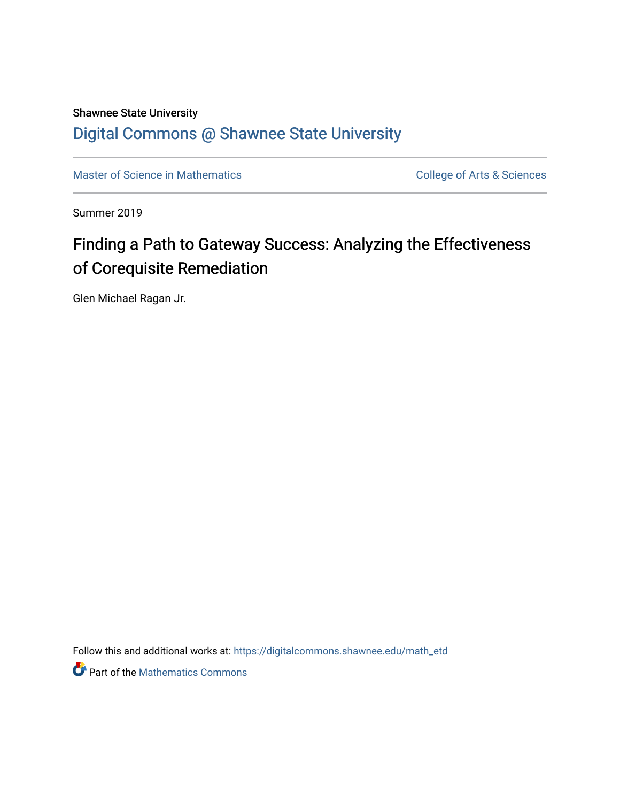## Shawnee State University

## [Digital Commons @ Shawnee State University](https://digitalcommons.shawnee.edu/)

[Master of Science in Mathematics](https://digitalcommons.shawnee.edu/math_etd) **College of Arts & Sciences** College of Arts & Sciences

Summer 2019

# Finding a Path to Gateway Success: Analyzing the Effectiveness of Corequisite Remediation

Glen Michael Ragan Jr.

Follow this and additional works at: [https://digitalcommons.shawnee.edu/math\\_etd](https://digitalcommons.shawnee.edu/math_etd?utm_source=digitalcommons.shawnee.edu%2Fmath_etd%2F14&utm_medium=PDF&utm_campaign=PDFCoverPages) 

**P** Part of the [Mathematics Commons](https://network.bepress.com/hgg/discipline/174?utm_source=digitalcommons.shawnee.edu%2Fmath_etd%2F14&utm_medium=PDF&utm_campaign=PDFCoverPages)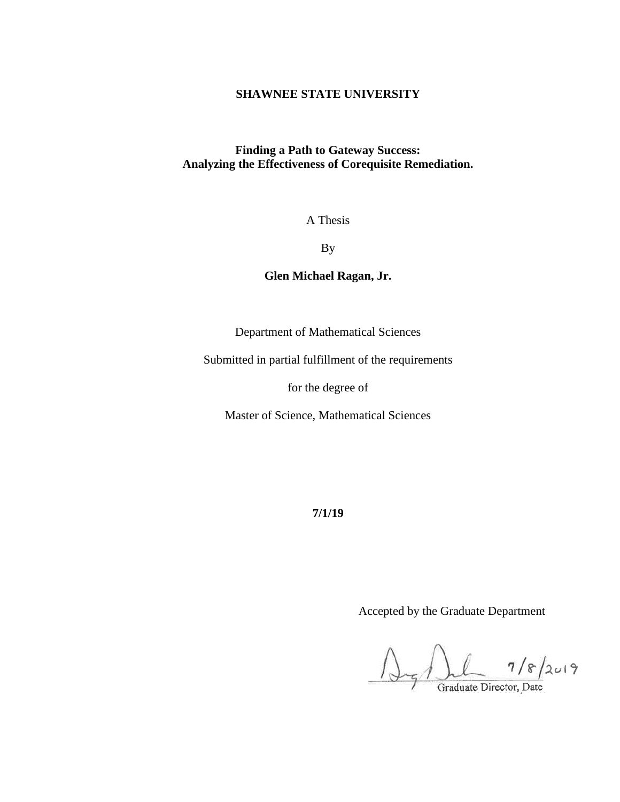#### **SHAWNEE STATE UNIVERSITY**

### **Finding a Path to Gateway Success: Analyzing the Effectiveness of Corequisite Remediation.**

A Thesis

By

## **Glen Michael Ragan, Jr.**

Department of Mathematical Sciences

Submitted in partial fulfillment of the requirements

for the degree of

Master of Science, Mathematical Sciences

**7/1/19**

Accepted by the Graduate Department

Graduate Director, Date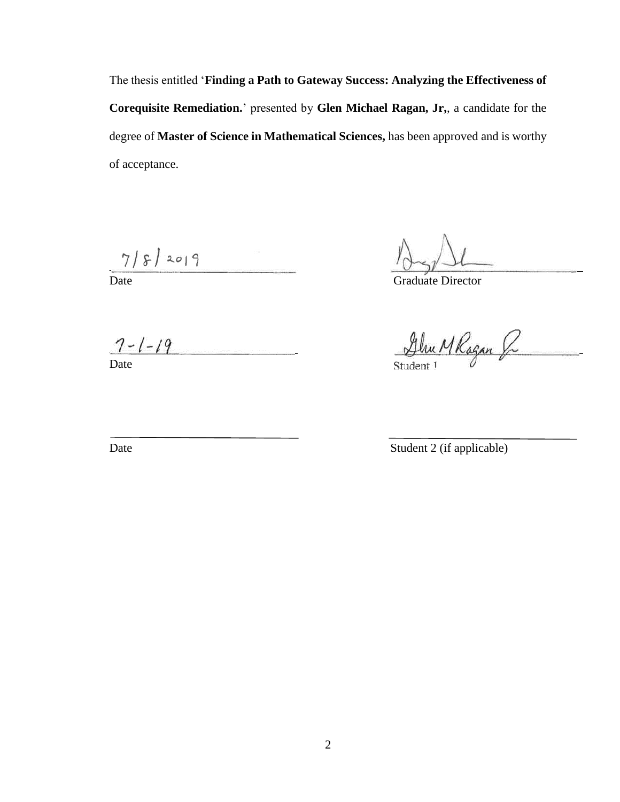The thesis entitled '**Finding a Path to Gateway Success: Analyzing the Effectiveness of Corequisite Remediation.**' presented by **Glen Michael Ragan, Jr,**, a candidate for the degree of **Master of Science in Mathematical Sciences,** has been approved and is worthy of acceptance.

 $\frac{7/8/2019}{\text{Date}} \frac{1}{\text{Grade Director}}$ 

 $7 - 1 - 19$ 

 $\frac{7-1-19}{\text{State}}$ 

<span id="page-2-0"></span>

Date Student 2 (if applicable)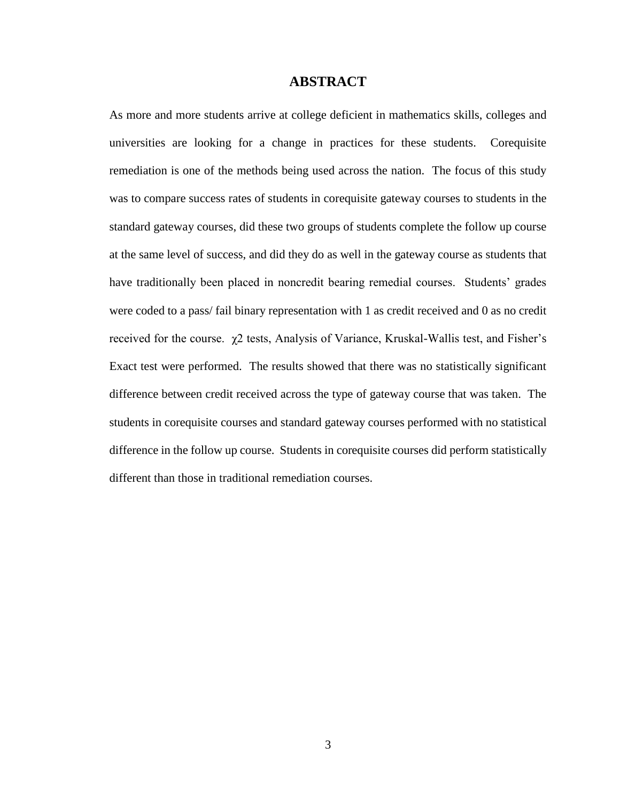#### **ABSTRACT**

<span id="page-3-0"></span>As more and more students arrive at college deficient in mathematics skills, colleges and universities are looking for a change in practices for these students. Corequisite remediation is one of the methods being used across the nation. The focus of this study was to compare success rates of students in corequisite gateway courses to students in the standard gateway courses, did these two groups of students complete the follow up course at the same level of success, and did they do as well in the gateway course as students that have traditionally been placed in noncredit bearing remedial courses. Students' grades were coded to a pass/ fail binary representation with 1 as credit received and 0 as no credit received for the course. χ2 tests, Analysis of Variance, Kruskal-Wallis test, and Fisher's Exact test were performed. The results showed that there was no statistically significant difference between credit received across the type of gateway course that was taken. The students in corequisite courses and standard gateway courses performed with no statistical difference in the follow up course. Students in corequisite courses did perform statistically different than those in traditional remediation courses.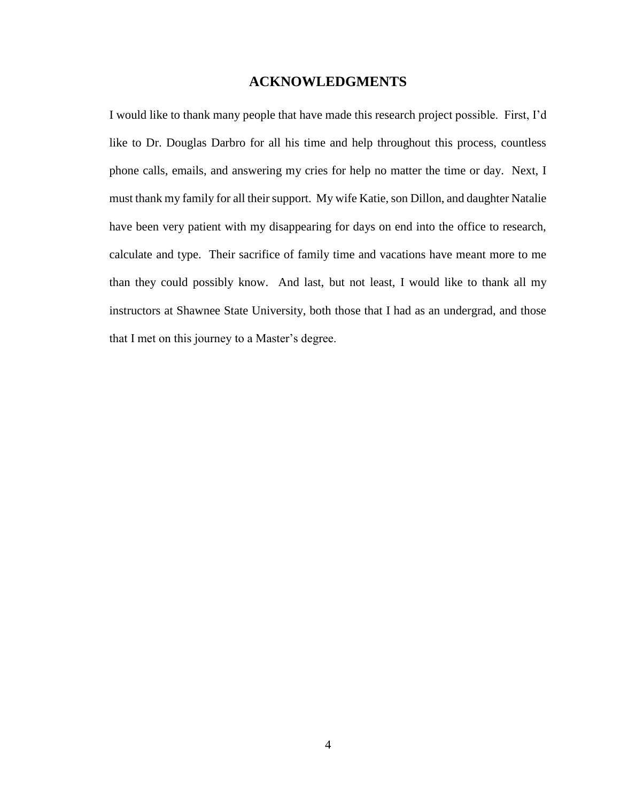## **ACKNOWLEDGMENTS**

<span id="page-4-0"></span>I would like to thank many people that have made this research project possible. First, I'd like to Dr. Douglas Darbro for all his time and help throughout this process, countless phone calls, emails, and answering my cries for help no matter the time or day. Next, I must thank my family for all their support. My wife Katie, son Dillon, and daughter Natalie have been very patient with my disappearing for days on end into the office to research, calculate and type. Their sacrifice of family time and vacations have meant more to me than they could possibly know. And last, but not least, I would like to thank all my instructors at Shawnee State University, both those that I had as an undergrad, and those that I met on this journey to a Master's degree.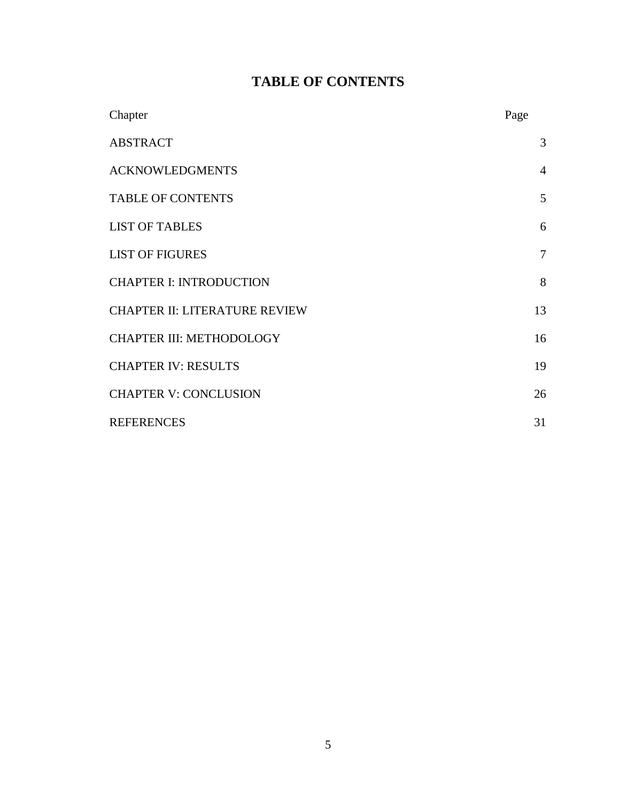## **TABLE OF CONTENTS**

<span id="page-5-0"></span>

| Chapter                              | Page           |
|--------------------------------------|----------------|
| <b>ABSTRACT</b>                      | 3              |
| <b>ACKNOWLEDGMENTS</b>               | $\overline{4}$ |
| <b>TABLE OF CONTENTS</b>             | 5              |
| <b>LIST OF TABLES</b>                | 6              |
| <b>LIST OF FIGURES</b>               | $\overline{7}$ |
| <b>CHAPTER I: INTRODUCTION</b>       | 8              |
| <b>CHAPTER II: LITERATURE REVIEW</b> | 13             |
| CHAPTER III: METHODOLOGY             | 16             |
| <b>CHAPTER IV: RESULTS</b>           | 19             |
| <b>CHAPTER V: CONCLUSION</b>         | 26             |
| <b>REFERENCES</b>                    | 31             |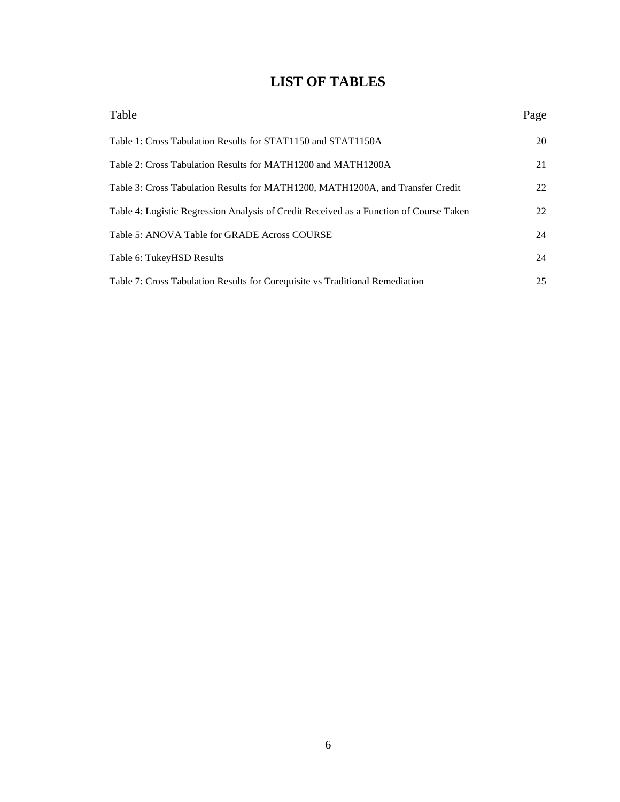## **LIST OF TABLES**

<span id="page-6-0"></span>

| Table                                                                                  | Page |
|----------------------------------------------------------------------------------------|------|
| Table 1: Cross Tabulation Results for STAT1150 and STAT1150A                           | 20   |
| Table 2: Cross Tabulation Results for MATH1200 and MATH1200A                           | 21   |
| Table 3: Cross Tabulation Results for MATH1200, MATH1200A, and Transfer Credit         | 22   |
| Table 4: Logistic Regression Analysis of Credit Received as a Function of Course Taken | 22   |
| Table 5: ANOVA Table for GRADE Across COURSE                                           | 24   |
| Table 6: TukeyHSD Results                                                              | 24   |
| Table 7: Cross Tabulation Results for Corequisite vs Traditional Remediation           | 25   |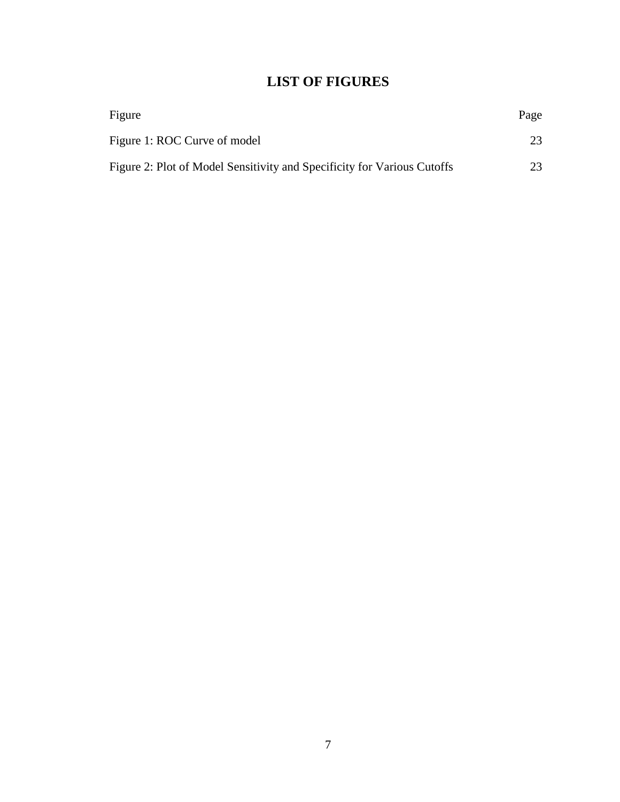## **LIST OF FIGURES**

| Figure                                                                  | Page |
|-------------------------------------------------------------------------|------|
| Figure 1: ROC Curve of model                                            | 23   |
| Figure 2: Plot of Model Sensitivity and Specificity for Various Cutoffs | 23   |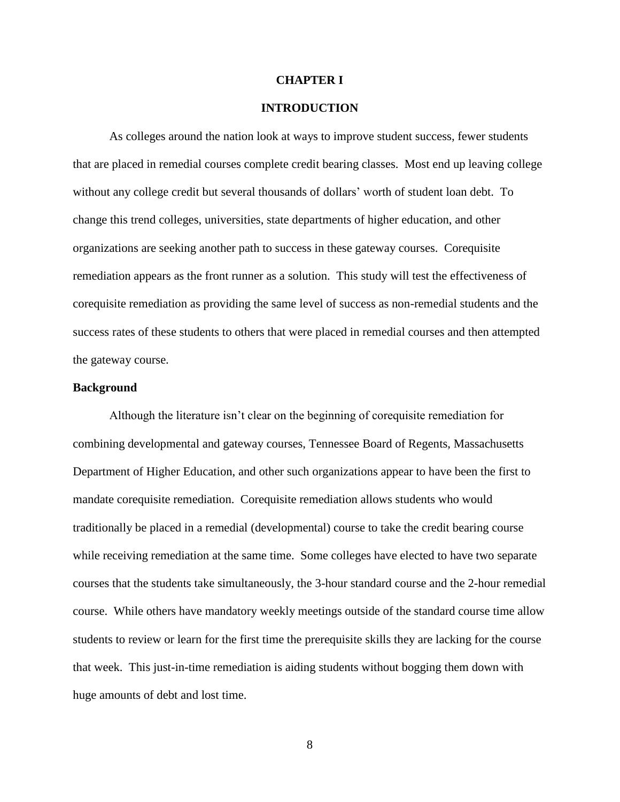#### **CHAPTER I**

### **INTRODUCTION**

As colleges around the nation look at ways to improve student success, fewer students that are placed in remedial courses complete credit bearing classes. Most end up leaving college without any college credit but several thousands of dollars' worth of student loan debt. To change this trend colleges, universities, state departments of higher education, and other organizations are seeking another path to success in these gateway courses. Corequisite remediation appears as the front runner as a solution. This study will test the effectiveness of corequisite remediation as providing the same level of success as non-remedial students and the success rates of these students to others that were placed in remedial courses and then attempted the gateway course.

#### **Background**

Although the literature isn't clear on the beginning of corequisite remediation for combining developmental and gateway courses, Tennessee Board of Regents, Massachusetts Department of Higher Education, and other such organizations appear to have been the first to mandate corequisite remediation. Corequisite remediation allows students who would traditionally be placed in a remedial (developmental) course to take the credit bearing course while receiving remediation at the same time. Some colleges have elected to have two separate courses that the students take simultaneously, the 3-hour standard course and the 2-hour remedial course. While others have mandatory weekly meetings outside of the standard course time allow students to review or learn for the first time the prerequisite skills they are lacking for the course that week. This just-in-time remediation is aiding students without bogging them down with huge amounts of debt and lost time.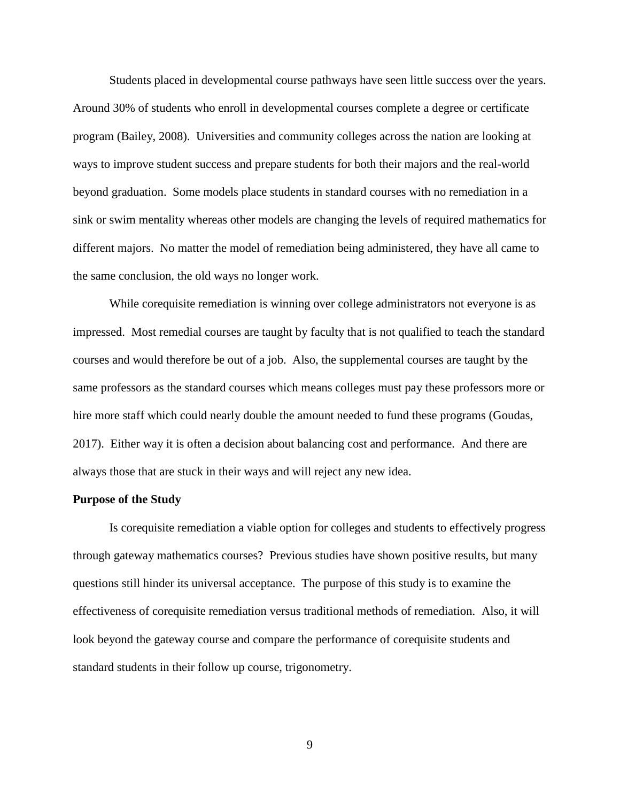Students placed in developmental course pathways have seen little success over the years. Around 30% of students who enroll in developmental courses complete a degree or certificate program (Bailey, 2008). Universities and community colleges across the nation are looking at ways to improve student success and prepare students for both their majors and the real-world beyond graduation. Some models place students in standard courses with no remediation in a sink or swim mentality whereas other models are changing the levels of required mathematics for different majors. No matter the model of remediation being administered, they have all came to the same conclusion, the old ways no longer work.

While corequisite remediation is winning over college administrators not everyone is as impressed. Most remedial courses are taught by faculty that is not qualified to teach the standard courses and would therefore be out of a job. Also, the supplemental courses are taught by the same professors as the standard courses which means colleges must pay these professors more or hire more staff which could nearly double the amount needed to fund these programs (Goudas, 2017). Either way it is often a decision about balancing cost and performance. And there are always those that are stuck in their ways and will reject any new idea.

#### **Purpose of the Study**

Is corequisite remediation a viable option for colleges and students to effectively progress through gateway mathematics courses? Previous studies have shown positive results, but many questions still hinder its universal acceptance. The purpose of this study is to examine the effectiveness of corequisite remediation versus traditional methods of remediation. Also, it will look beyond the gateway course and compare the performance of corequisite students and standard students in their follow up course, trigonometry.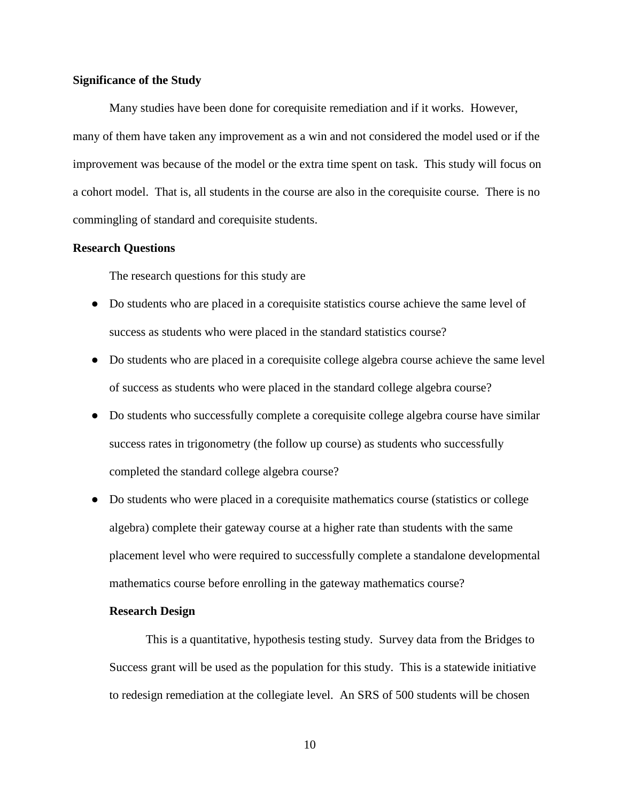#### **Significance of the Study**

Many studies have been done for corequisite remediation and if it works. However, many of them have taken any improvement as a win and not considered the model used or if the improvement was because of the model or the extra time spent on task. This study will focus on a cohort model. That is, all students in the course are also in the corequisite course. There is no commingling of standard and corequisite students.

#### **Research Questions**

The research questions for this study are

- Do students who are placed in a corequisite statistics course achieve the same level of success as students who were placed in the standard statistics course?
- Do students who are placed in a corequisite college algebra course achieve the same level of success as students who were placed in the standard college algebra course?
- Do students who successfully complete a corequisite college algebra course have similar success rates in trigonometry (the follow up course) as students who successfully completed the standard college algebra course?
- Do students who were placed in a corequisite mathematics course (statistics or college algebra) complete their gateway course at a higher rate than students with the same placement level who were required to successfully complete a standalone developmental mathematics course before enrolling in the gateway mathematics course?

#### **Research Design**

This is a quantitative, hypothesis testing study. Survey data from the Bridges to Success grant will be used as the population for this study. This is a statewide initiative to redesign remediation at the collegiate level. An SRS of 500 students will be chosen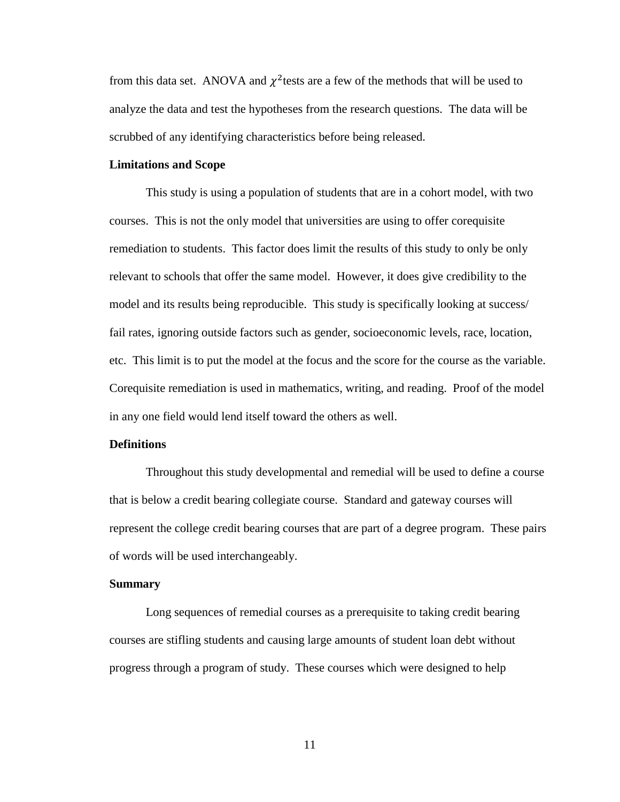from this data set. ANOVA and  $\chi^2$  tests are a few of the methods that will be used to analyze the data and test the hypotheses from the research questions. The data will be scrubbed of any identifying characteristics before being released.

#### **Limitations and Scope**

This study is using a population of students that are in a cohort model, with two courses. This is not the only model that universities are using to offer corequisite remediation to students. This factor does limit the results of this study to only be only relevant to schools that offer the same model. However, it does give credibility to the model and its results being reproducible. This study is specifically looking at success/ fail rates, ignoring outside factors such as gender, socioeconomic levels, race, location, etc. This limit is to put the model at the focus and the score for the course as the variable. Corequisite remediation is used in mathematics, writing, and reading. Proof of the model in any one field would lend itself toward the others as well.

#### **Definitions**

Throughout this study developmental and remedial will be used to define a course that is below a credit bearing collegiate course. Standard and gateway courses will represent the college credit bearing courses that are part of a degree program. These pairs of words will be used interchangeably.

#### **Summary**

Long sequences of remedial courses as a prerequisite to taking credit bearing courses are stifling students and causing large amounts of student loan debt without progress through a program of study. These courses which were designed to help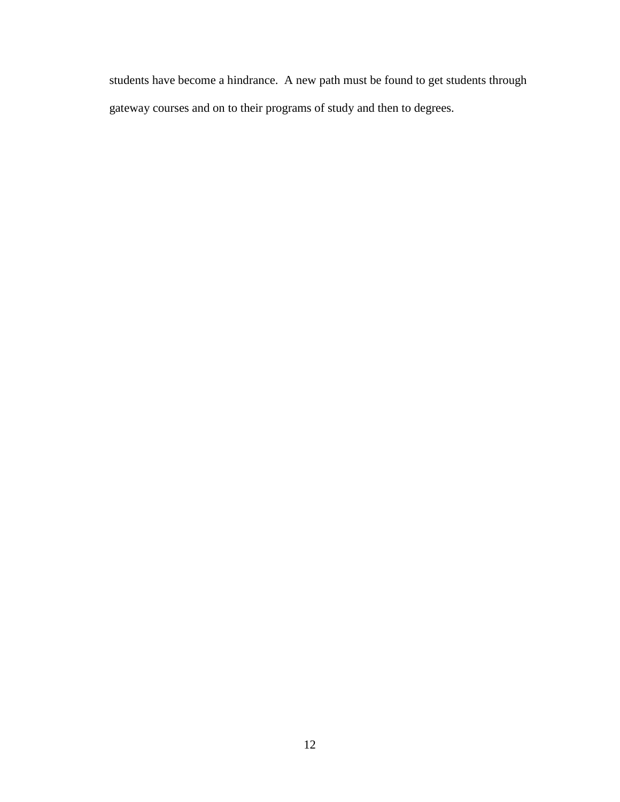students have become a hindrance. A new path must be found to get students through gateway courses and on to their programs of study and then to degrees.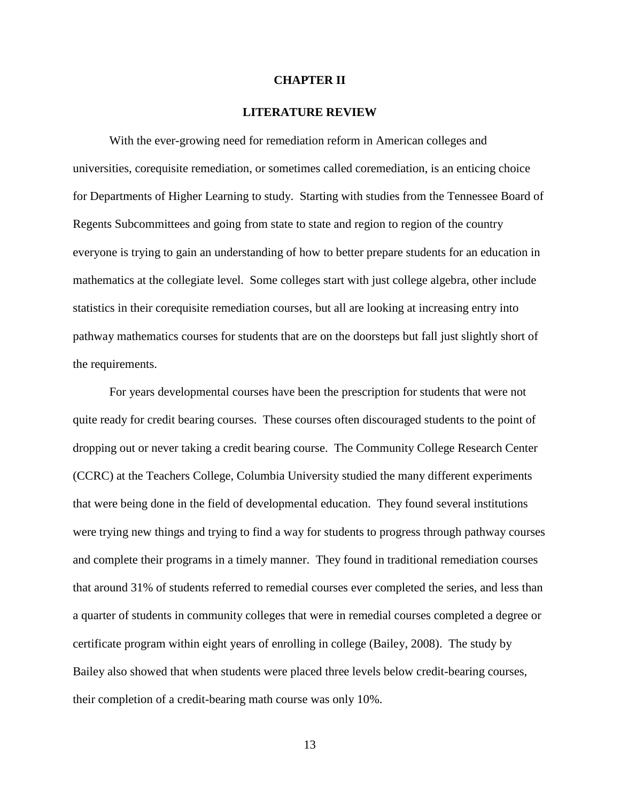#### **CHAPTER II**

#### **LITERATURE REVIEW**

With the ever-growing need for remediation reform in American colleges and universities, corequisite remediation, or sometimes called coremediation, is an enticing choice for Departments of Higher Learning to study. Starting with studies from the Tennessee Board of Regents Subcommittees and going from state to state and region to region of the country everyone is trying to gain an understanding of how to better prepare students for an education in mathematics at the collegiate level. Some colleges start with just college algebra, other include statistics in their corequisite remediation courses, but all are looking at increasing entry into pathway mathematics courses for students that are on the doorsteps but fall just slightly short of the requirements.

For years developmental courses have been the prescription for students that were not quite ready for credit bearing courses. These courses often discouraged students to the point of dropping out or never taking a credit bearing course. The Community College Research Center (CCRC) at the Teachers College, Columbia University studied the many different experiments that were being done in the field of developmental education. They found several institutions were trying new things and trying to find a way for students to progress through pathway courses and complete their programs in a timely manner. They found in traditional remediation courses that around 31% of students referred to remedial courses ever completed the series, and less than a quarter of students in community colleges that were in remedial courses completed a degree or certificate program within eight years of enrolling in college (Bailey, 2008). The study by Bailey also showed that when students were placed three levels below credit-bearing courses, their completion of a credit-bearing math course was only 10%.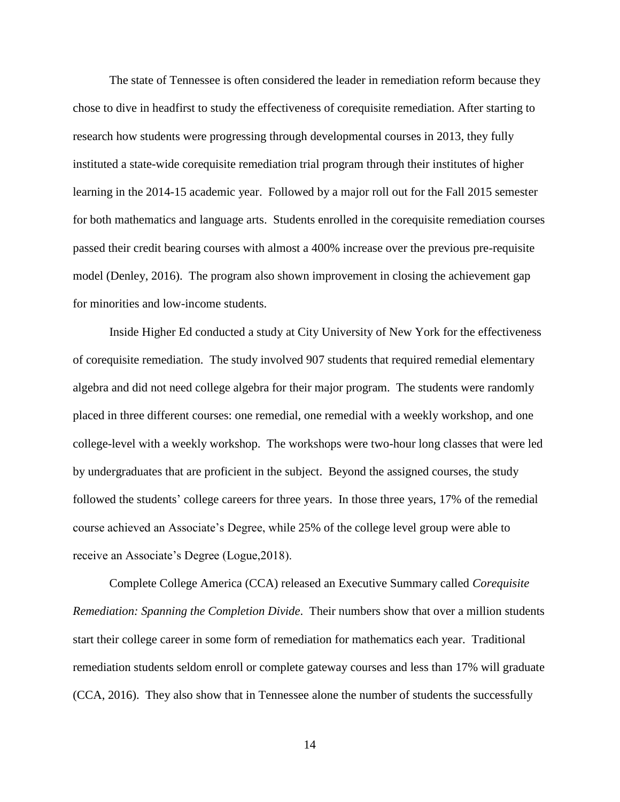The state of Tennessee is often considered the leader in remediation reform because they chose to dive in headfirst to study the effectiveness of corequisite remediation. After starting to research how students were progressing through developmental courses in 2013, they fully instituted a state-wide corequisite remediation trial program through their institutes of higher learning in the 2014-15 academic year. Followed by a major roll out for the Fall 2015 semester for both mathematics and language arts. Students enrolled in the corequisite remediation courses passed their credit bearing courses with almost a 400% increase over the previous pre-requisite model (Denley, 2016). The program also shown improvement in closing the achievement gap for minorities and low-income students.

Inside Higher Ed conducted a study at City University of New York for the effectiveness of corequisite remediation. The study involved 907 students that required remedial elementary algebra and did not need college algebra for their major program. The students were randomly placed in three different courses: one remedial, one remedial with a weekly workshop, and one college-level with a weekly workshop. The workshops were two-hour long classes that were led by undergraduates that are proficient in the subject. Beyond the assigned courses, the study followed the students' college careers for three years. In those three years, 17% of the remedial course achieved an Associate's Degree, while 25% of the college level group were able to receive an Associate's Degree (Logue,2018).

Complete College America (CCA) released an Executive Summary called *Corequisite Remediation: Spanning the Completion Divide*. Their numbers show that over a million students start their college career in some form of remediation for mathematics each year. Traditional remediation students seldom enroll or complete gateway courses and less than 17% will graduate (CCA, 2016). They also show that in Tennessee alone the number of students the successfully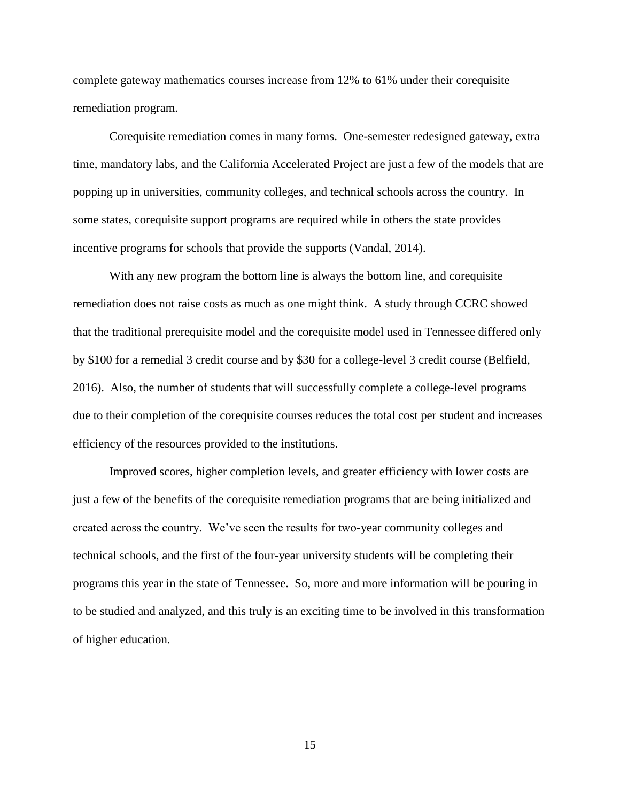complete gateway mathematics courses increase from 12% to 61% under their corequisite remediation program.

Corequisite remediation comes in many forms. One-semester redesigned gateway, extra time, mandatory labs, and the California Accelerated Project are just a few of the models that are popping up in universities, community colleges, and technical schools across the country. In some states, corequisite support programs are required while in others the state provides incentive programs for schools that provide the supports (Vandal, 2014).

With any new program the bottom line is always the bottom line, and corequisite remediation does not raise costs as much as one might think. A study through CCRC showed that the traditional prerequisite model and the corequisite model used in Tennessee differed only by \$100 for a remedial 3 credit course and by \$30 for a college-level 3 credit course (Belfield, 2016). Also, the number of students that will successfully complete a college-level programs due to their completion of the corequisite courses reduces the total cost per student and increases efficiency of the resources provided to the institutions.

Improved scores, higher completion levels, and greater efficiency with lower costs are just a few of the benefits of the corequisite remediation programs that are being initialized and created across the country. We've seen the results for two-year community colleges and technical schools, and the first of the four-year university students will be completing their programs this year in the state of Tennessee. So, more and more information will be pouring in to be studied and analyzed, and this truly is an exciting time to be involved in this transformation of higher education.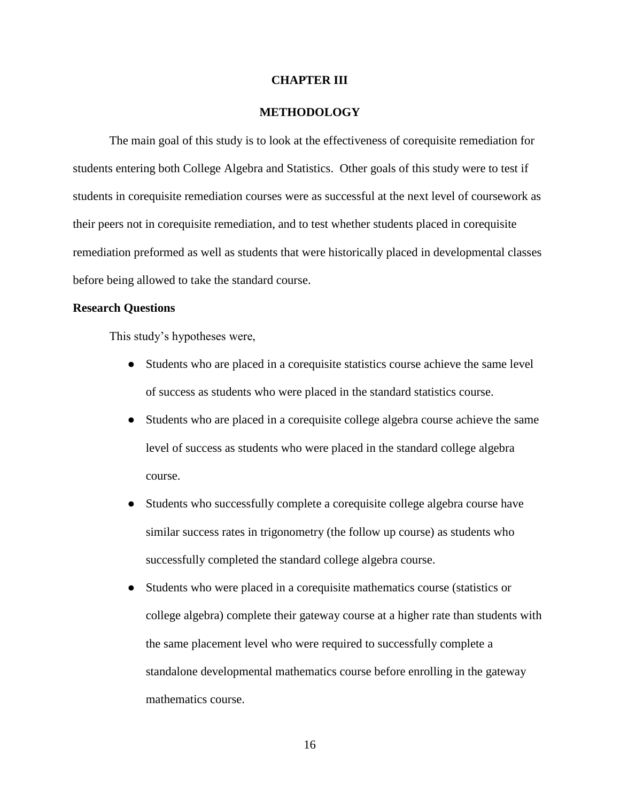#### **CHAPTER III**

#### **METHODOLOGY**

The main goal of this study is to look at the effectiveness of corequisite remediation for students entering both College Algebra and Statistics. Other goals of this study were to test if students in corequisite remediation courses were as successful at the next level of coursework as their peers not in corequisite remediation, and to test whether students placed in corequisite remediation preformed as well as students that were historically placed in developmental classes before being allowed to take the standard course.

#### **Research Questions**

This study's hypotheses were,

- Students who are placed in a corequisite statistics course achieve the same level of success as students who were placed in the standard statistics course.
- Students who are placed in a corequisite college algebra course achieve the same level of success as students who were placed in the standard college algebra course.
- Students who successfully complete a corequisite college algebra course have similar success rates in trigonometry (the follow up course) as students who successfully completed the standard college algebra course.
- Students who were placed in a corequisite mathematics course (statistics or college algebra) complete their gateway course at a higher rate than students with the same placement level who were required to successfully complete a standalone developmental mathematics course before enrolling in the gateway mathematics course.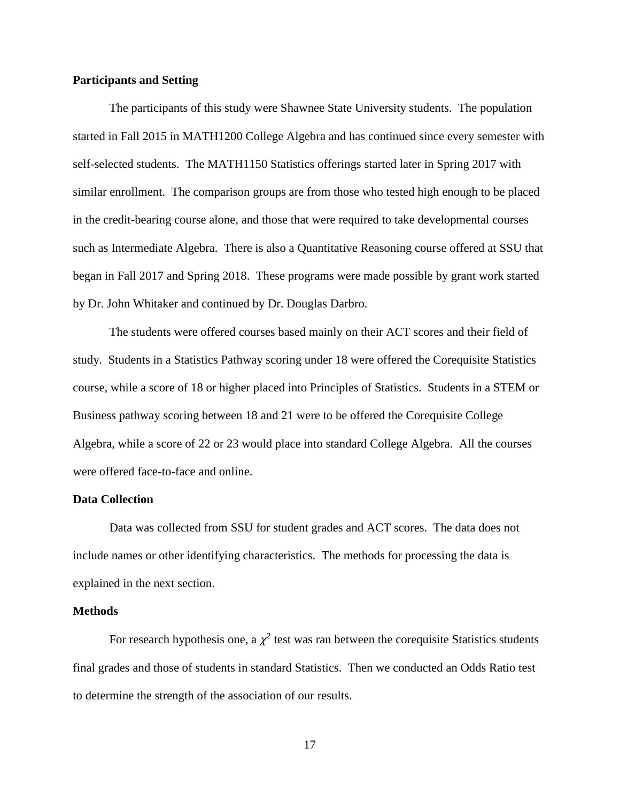#### **Participants and Setting**

The participants of this study were Shawnee State University students. The population started in Fall 2015 in MATH1200 College Algebra and has continued since every semester with self-selected students. The MATH1150 Statistics offerings started later in Spring 2017 with similar enrollment. The comparison groups are from those who tested high enough to be placed in the credit-bearing course alone, and those that were required to take developmental courses such as Intermediate Algebra. There is also a Quantitative Reasoning course offered at SSU that began in Fall 2017 and Spring 2018. These programs were made possible by grant work started by Dr. John Whitaker and continued by Dr. Douglas Darbro.

The students were offered courses based mainly on their ACT scores and their field of study. Students in a Statistics Pathway scoring under 18 were offered the Corequisite Statistics course, while a score of 18 or higher placed into Principles of Statistics. Students in a STEM or Business pathway scoring between 18 and 21 were to be offered the Corequisite College Algebra, while a score of 22 or 23 would place into standard College Algebra. All the courses were offered face-to-face and online.

#### **Data Collection**

Data was collected from SSU for student grades and ACT scores. The data does not include names or other identifying characteristics. The methods for processing the data is explained in the next section.

#### **Methods**

For research hypothesis one, a  $\chi^2$  test was ran between the corequisite Statistics students final grades and those of students in standard Statistics. Then we conducted an Odds Ratio test to determine the strength of the association of our results.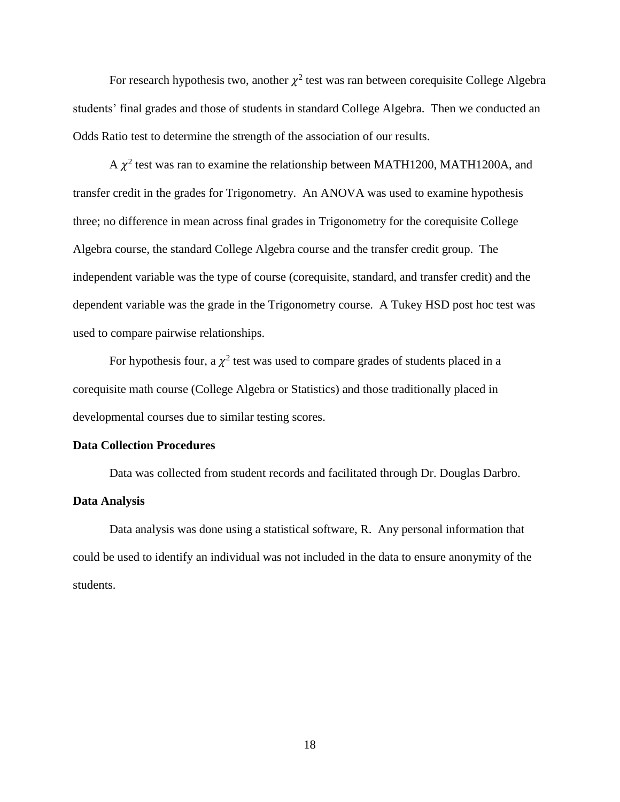For research hypothesis two, another  $\chi^2$  test was ran between corequisite College Algebra students' final grades and those of students in standard College Algebra. Then we conducted an Odds Ratio test to determine the strength of the association of our results.

A  $\chi^2$  test was ran to examine the relationship between MATH1200, MATH1200A, and transfer credit in the grades for Trigonometry. An ANOVA was used to examine hypothesis three; no difference in mean across final grades in Trigonometry for the corequisite College Algebra course, the standard College Algebra course and the transfer credit group. The independent variable was the type of course (corequisite, standard, and transfer credit) and the dependent variable was the grade in the Trigonometry course. A Tukey HSD post hoc test was used to compare pairwise relationships.

For hypothesis four, a  $\chi^2$  test was used to compare grades of students placed in a corequisite math course (College Algebra or Statistics) and those traditionally placed in developmental courses due to similar testing scores.

#### **Data Collection Procedures**

Data was collected from student records and facilitated through Dr. Douglas Darbro. **Data Analysis**

Data analysis was done using a statistical software, R. Any personal information that could be used to identify an individual was not included in the data to ensure anonymity of the students.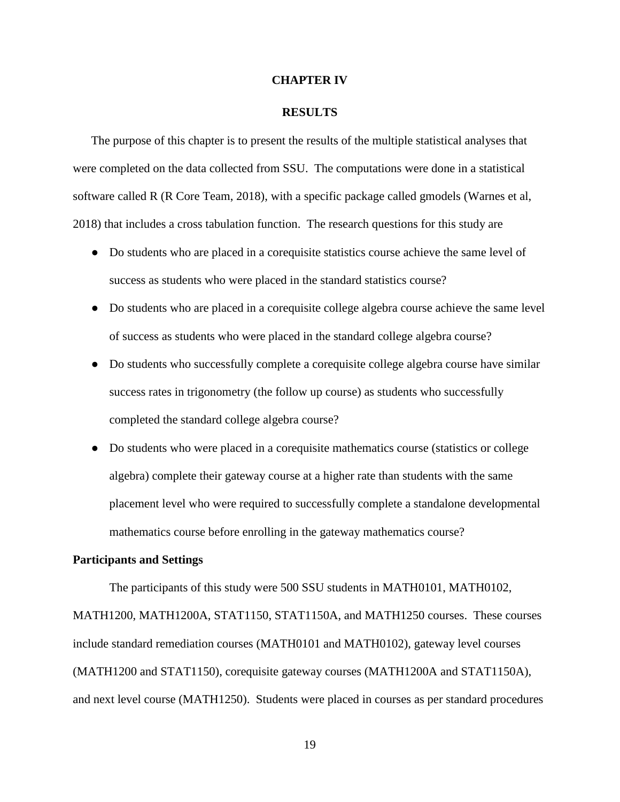#### **CHAPTER IV**

#### **RESULTS**

The purpose of this chapter is to present the results of the multiple statistical analyses that were completed on the data collected from SSU. The computations were done in a statistical software called R (R Core Team, 2018), with a specific package called gmodels (Warnes et al, 2018) that includes a cross tabulation function. The research questions for this study are

- Do students who are placed in a corequisite statistics course achieve the same level of success as students who were placed in the standard statistics course?
- Do students who are placed in a corequisite college algebra course achieve the same level of success as students who were placed in the standard college algebra course?
- Do students who successfully complete a corequisite college algebra course have similar success rates in trigonometry (the follow up course) as students who successfully completed the standard college algebra course?
- Do students who were placed in a corequisite mathematics course (statistics or college algebra) complete their gateway course at a higher rate than students with the same placement level who were required to successfully complete a standalone developmental mathematics course before enrolling in the gateway mathematics course?

#### **Participants and Settings**

The participants of this study were 500 SSU students in MATH0101, MATH0102,

MATH1200, MATH1200A, STAT1150, STAT1150A, and MATH1250 courses. These courses include standard remediation courses (MATH0101 and MATH0102), gateway level courses (MATH1200 and STAT1150), corequisite gateway courses (MATH1200A and STAT1150A), and next level course (MATH1250). Students were placed in courses as per standard procedures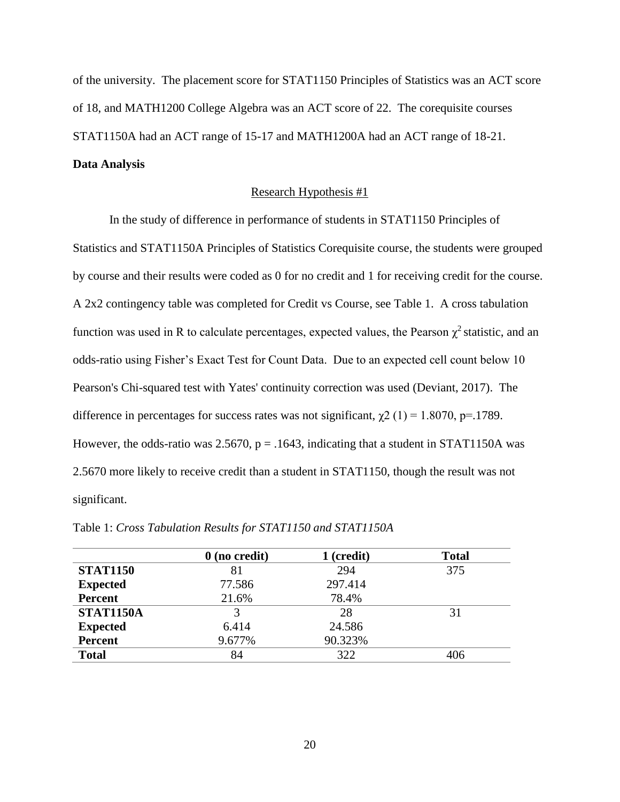of the university. The placement score for STAT1150 Principles of Statistics was an ACT score of 18, and MATH1200 College Algebra was an ACT score of 22. The corequisite courses STAT1150A had an ACT range of 15-17 and MATH1200A had an ACT range of 18-21. **Data Analysis**

#### Research Hypothesis #1

In the study of difference in performance of students in STAT1150 Principles of Statistics and STAT1150A Principles of Statistics Corequisite course, the students were grouped by course and their results were coded as 0 for no credit and 1 for receiving credit for the course. A 2x2 contingency table was completed for Credit vs Course, see Table 1. A cross tabulation function was used in R to calculate percentages, expected values, the Pearson  $\chi^2$  statistic, and an odds-ratio using Fisher's Exact Test for Count Data. Due to an expected cell count below 10 Pearson's Chi-squared test with Yates' continuity correction was used (Deviant, 2017). The difference in percentages for success rates was not significant,  $\chi^2$  (1) = 1.8070, p=.1789. However, the odds-ratio was 2.5670,  $p = .1643$ , indicating that a student in STAT1150A was 2.5670 more likely to receive credit than a student in STAT1150, though the result was not significant.

|                  | $0$ (no credit) | 1 (credit) | <b>Total</b> |
|------------------|-----------------|------------|--------------|
| <b>STAT1150</b>  | 81              | 294        | 375          |
| <b>Expected</b>  | 77.586          | 297.414    |              |
| <b>Percent</b>   | 21.6%           | 78.4%      |              |
| <b>STAT1150A</b> |                 | 28         | 31           |
| <b>Expected</b>  | 6.414           | 24.586     |              |
| <b>Percent</b>   | 9.677%          | 90.323%    |              |
| <b>Total</b>     | 84              | 322        | 406          |

Table 1: *Cross Tabulation Results for STAT1150 and STAT1150A*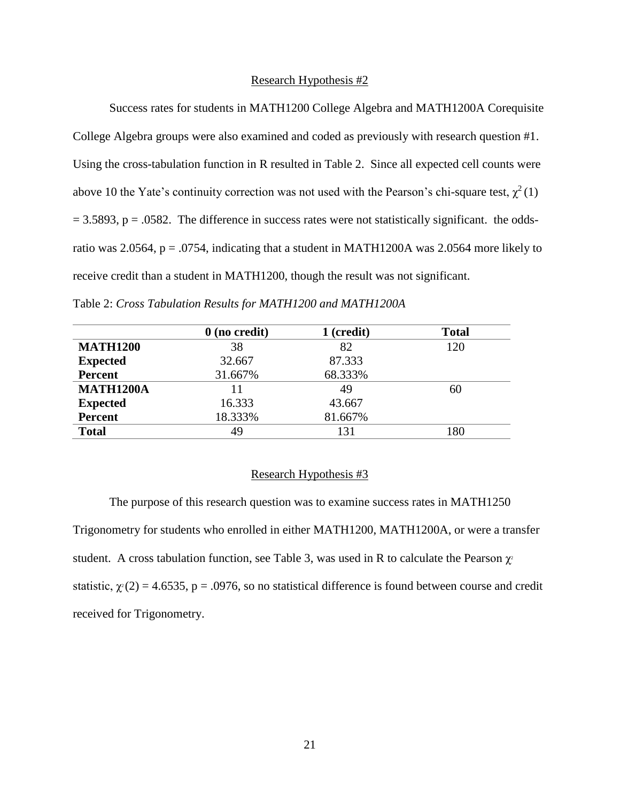#### Research Hypothesis #2

Success rates for students in MATH1200 College Algebra and MATH1200A Corequisite College Algebra groups were also examined and coded as previously with research question #1. Using the cross-tabulation function in R resulted in Table 2. Since all expected cell counts were above 10 the Yate's continuity correction was not used with the Pearson's chi-square test,  $\chi^2(1)$  $= 3.5893$ ,  $p = .0582$ . The difference in success rates were not statistically significant. the oddsratio was 2.0564, p = .0754, indicating that a student in MATH1200A was 2.0564 more likely to receive credit than a student in MATH1200, though the result was not significant.

|                  | $0$ (no credit) | 1 (credit) | <b>Total</b> |
|------------------|-----------------|------------|--------------|
| <b>MATH1200</b>  | 38              | 82         | 120          |
| <b>Expected</b>  | 32.667          | 87.333     |              |
| Percent          | 31.667%         | 68.333%    |              |
| <b>MATH1200A</b> | 11              | 49         | 60           |
| <b>Expected</b>  | 16.333          | 43.667     |              |
| <b>Percent</b>   | 18.333%         | 81.667%    |              |
| <b>Total</b>     | 49              | 131        | 180          |

#### Table 2: *Cross Tabulation Results for MATH1200 and MATH1200A*

#### Research Hypothesis #3

The purpose of this research question was to examine success rates in MATH1250 Trigonometry for students who enrolled in either MATH1200, MATH1200A, or were a transfer student. A cross tabulation function, see Table 3, was used in R to calculate the Pearson  $\gamma$ <sup>2</sup> statistic,  $\chi$ <sup>2</sup>(2) = 4.6535, p = .0976, so no statistical difference is found between course and credit received for Trigonometry.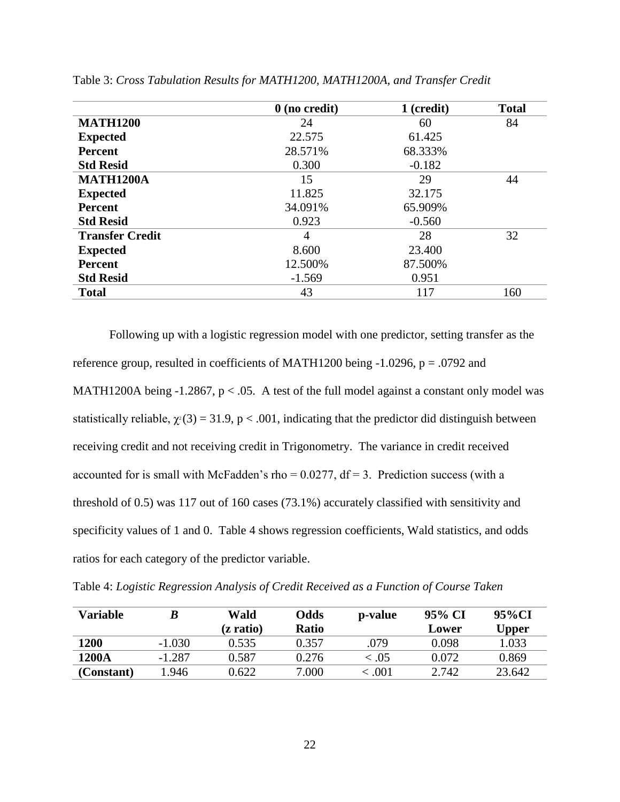|                        | $0$ (no credit) | 1 (credit) | <b>Total</b> |
|------------------------|-----------------|------------|--------------|
| <b>MATH1200</b>        | 24              | 60         | 84           |
| <b>Expected</b>        | 22.575          | 61.425     |              |
| <b>Percent</b>         | 28.571%         | 68.333%    |              |
| <b>Std Resid</b>       | 0.300           | $-0.182$   |              |
| <b>MATH1200A</b>       | 15              | 29         | 44           |
| <b>Expected</b>        | 11.825          | 32.175     |              |
| <b>Percent</b>         | 34.091%         | 65.909%    |              |
| <b>Std Resid</b>       | 0.923           | $-0.560$   |              |
| <b>Transfer Credit</b> | $\overline{A}$  | 28         | 32           |
| <b>Expected</b>        | 8.600           | 23.400     |              |
| <b>Percent</b>         | 12.500%         | 87.500%    |              |
| <b>Std Resid</b>       | $-1.569$        | 0.951      |              |
| <b>Total</b>           | 43              | 117        | 160          |

Table 3: *Cross Tabulation Results for MATH1200, MATH1200A, and Transfer Credit*

Following up with a logistic regression model with one predictor, setting transfer as the reference group, resulted in coefficients of MATH1200 being  $-1.0296$ , p = .0792 and MATH1200A being  $-1.2867$ , p < .05. A test of the full model against a constant only model was statistically reliable,  $\chi$ <sup>2</sup>(3) = 31.9, p < .001, indicating that the predictor did distinguish between receiving credit and not receiving credit in Trigonometry. The variance in credit received accounted for is small with McFadden's rho =  $0.0277$ , df = 3. Prediction success (with a threshold of 0.5) was 117 out of 160 cases (73.1%) accurately classified with sensitivity and specificity values of 1 and 0. Table 4 shows regression coefficients, Wald statistics, and odds ratios for each category of the predictor variable.

Table 4: *Logistic Regression Analysis of Credit Received as a Function of Course Taken*

| <b>Variable</b> | B        | Wald      | <b>Odds</b>  | p-value                     | 95% CI | 95%CI  |
|-----------------|----------|-----------|--------------|-----------------------------|--------|--------|
|                 |          | (z ratio) | <b>Ratio</b> |                             | Lower  | Upper  |
| <b>1200</b>     | $-1.030$ | 0.535     | 0.357        | .079                        | 0.098  | 1.033  |
| 1200A           | $-1.287$ | 0.587     | 0.276        | < 0.05                      | 0.072  | 0.869  |
| (Constant)      | .946     | 0.622     | 7.000        | $\stackrel{<}{_{\sim}}.001$ | 2.742  | 23.642 |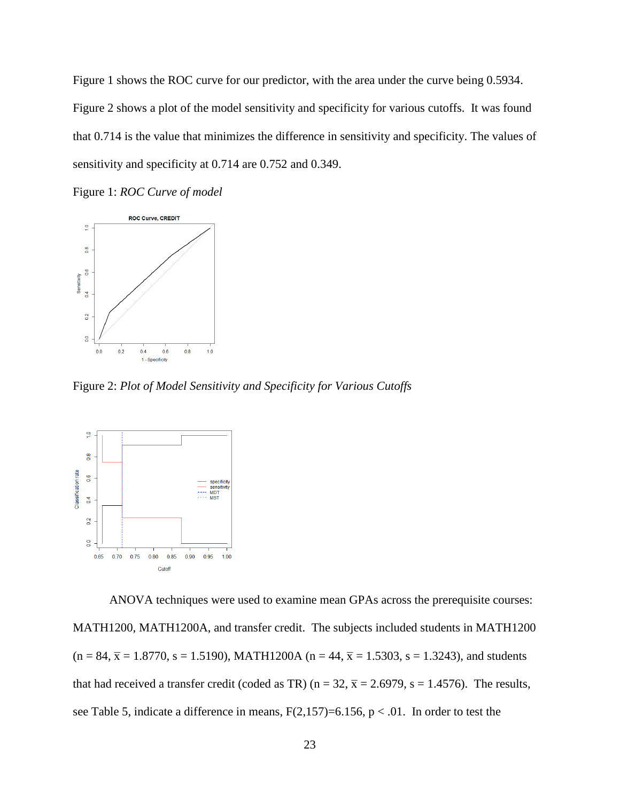Figure 1 shows the ROC curve for our predictor, with the area under the curve being 0.5934. Figure 2 shows a plot of the model sensitivity and specificity for various cutoffs. It was found that 0.714 is the value that minimizes the difference in sensitivity and specificity. The values of sensitivity and specificity at 0.714 are 0.752 and 0.349.

Figure 1: *ROC Curve of model*



Figure 2: *Plot of Model Sensitivity and Specificity for Various Cutoffs*



ANOVA techniques were used to examine mean GPAs across the prerequisite courses: MATH1200, MATH1200A, and transfer credit. The subjects included students in MATH1200  $(n = 84, \bar{x} = 1.8770, s = 1.5190)$ , MATH1200A  $(n = 44, \bar{x} = 1.5303, s = 1.3243)$ , and students that had received a transfer credit (coded as TR) ( $n = 32$ ,  $\bar{x} = 2.6979$ ,  $s = 1.4576$ ). The results, see Table 5, indicate a difference in means,  $F(2,157)=6.156$ ,  $p < .01$ . In order to test the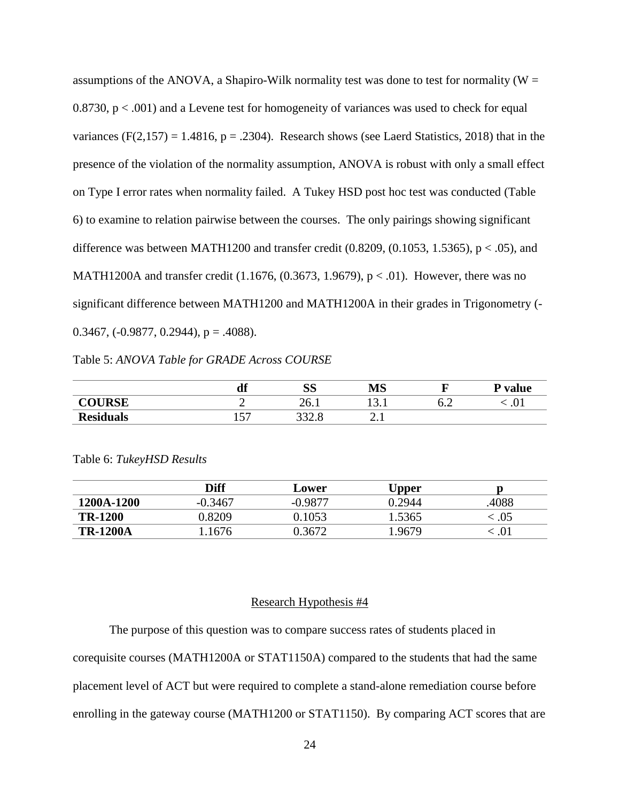assumptions of the ANOVA, a Shapiro-Wilk normality test was done to test for normality ( $W =$ 0.8730,  $p < .001$ ) and a Levene test for homogeneity of variances was used to check for equal variances (F(2,157) = 1.4816, p = .2304). Research shows (see Laerd Statistics, 2018) that in the presence of the violation of the normality assumption, ANOVA is robust with only a small effect on Type I error rates when normality failed. A Tukey HSD post hoc test was conducted (Table 6) to examine to relation pairwise between the courses. The only pairings showing significant difference was between MATH1200 and transfer credit  $(0.8209, (0.1053, 1.5365), p < .05)$ , and MATH1200A and transfer credit  $(1.1676, (0.3673, 1.9679), p < .01)$ . However, there was no significant difference between MATH1200 and MATH1200A in their grades in Trigonometry (- 0.3467,  $(-0.9877, 0.2944)$ ,  $p = .4088$ ).

Table 5: *ANOVA Table for GRADE Across COURSE*

|                                                     | лe<br>uı                                                                                      | aα<br>ນມ        | <b>MS</b> |     | <b>P</b> value |
|-----------------------------------------------------|-----------------------------------------------------------------------------------------------|-----------------|-----------|-----|----------------|
| $\boldsymbol{C}\boldsymbol{\Lambda}$ tidee<br>עטושי | -                                                                                             | 26.1            | 19.1      | ∪.∠ | $\cdot$ .      |
| <b>Residuals</b>                                    | $\overline{r}$<br>$\bullet\hspace{-.15cm}\bullet\hspace{-.15cm}\bullet\hspace{-.15cm}\bullet$ | っっへ<br>ں ، بے ب | <u>.</u>  |     |                |

Table 6: *TukeyHSD Results*

|                 | Diff      | Lower     | $\mathsf{Upper}$ |       |
|-----------------|-----------|-----------|------------------|-------|
| 1200A-1200      | $-0.3467$ | $-0.9877$ | 0.2944           | .4088 |
| <b>TR-1200</b>  | 0.8209    | 0.1053    | 1.5365           | .05   |
| <b>TR-1200A</b> | .1676     | 0.3672    | .9679            |       |

#### Research Hypothesis #4

The purpose of this question was to compare success rates of students placed in corequisite courses (MATH1200A or STAT1150A) compared to the students that had the same placement level of ACT but were required to complete a stand-alone remediation course before enrolling in the gateway course (MATH1200 or STAT1150). By comparing ACT scores that are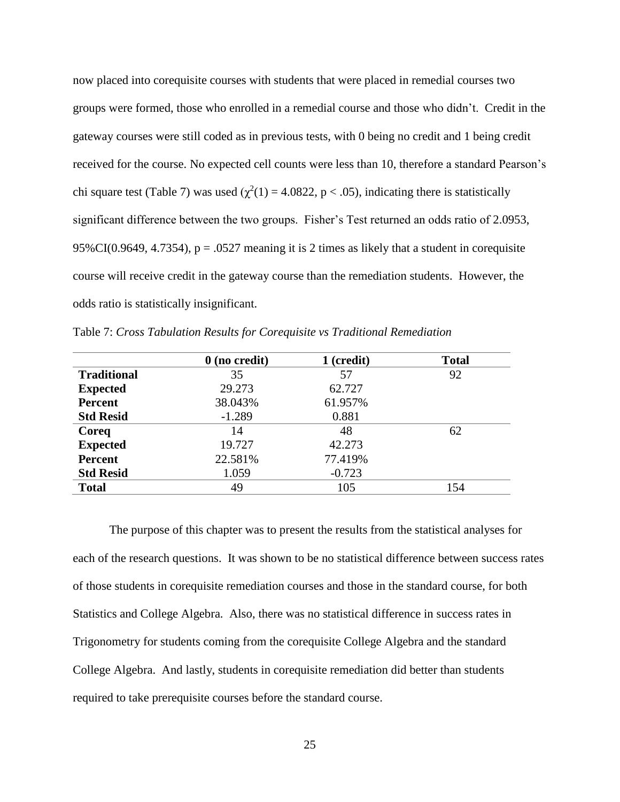now placed into corequisite courses with students that were placed in remedial courses two groups were formed, those who enrolled in a remedial course and those who didn't. Credit in the gateway courses were still coded as in previous tests, with 0 being no credit and 1 being credit received for the course. No expected cell counts were less than 10, therefore a standard Pearson's chi square test (Table 7) was used ( $\chi^2(1) = 4.0822$ , p < .05), indicating there is statistically significant difference between the two groups. Fisher's Test returned an odds ratio of 2.0953, 95%CI(0.9649, 4.7354),  $p = 0.0527$  meaning it is 2 times as likely that a student in corequisite course will receive credit in the gateway course than the remediation students. However, the odds ratio is statistically insignificant.

|  | Table 7: Cross Tabulation Results for Corequisite vs Traditional Remediation |  |  |  |  |  |
|--|------------------------------------------------------------------------------|--|--|--|--|--|
|--|------------------------------------------------------------------------------|--|--|--|--|--|

|                    | $0$ (no credit) | 1 (credit) | <b>Total</b> |
|--------------------|-----------------|------------|--------------|
| <b>Traditional</b> | 35              | 57         | 92           |
| <b>Expected</b>    | 29.273          | 62.727     |              |
| <b>Percent</b>     | 38.043%         | 61.957%    |              |
| <b>Std Resid</b>   | $-1.289$        | 0.881      |              |
| Coreq              | 14              | 48         | 62           |
| <b>Expected</b>    | 19.727          | 42.273     |              |
| <b>Percent</b>     | 22.581%         | 77.419%    |              |
| <b>Std Resid</b>   | 1.059           | $-0.723$   |              |
| <b>Total</b>       | 49              | 105        | 154          |

The purpose of this chapter was to present the results from the statistical analyses for each of the research questions. It was shown to be no statistical difference between success rates of those students in corequisite remediation courses and those in the standard course, for both Statistics and College Algebra. Also, there was no statistical difference in success rates in Trigonometry for students coming from the corequisite College Algebra and the standard College Algebra. And lastly, students in corequisite remediation did better than students required to take prerequisite courses before the standard course.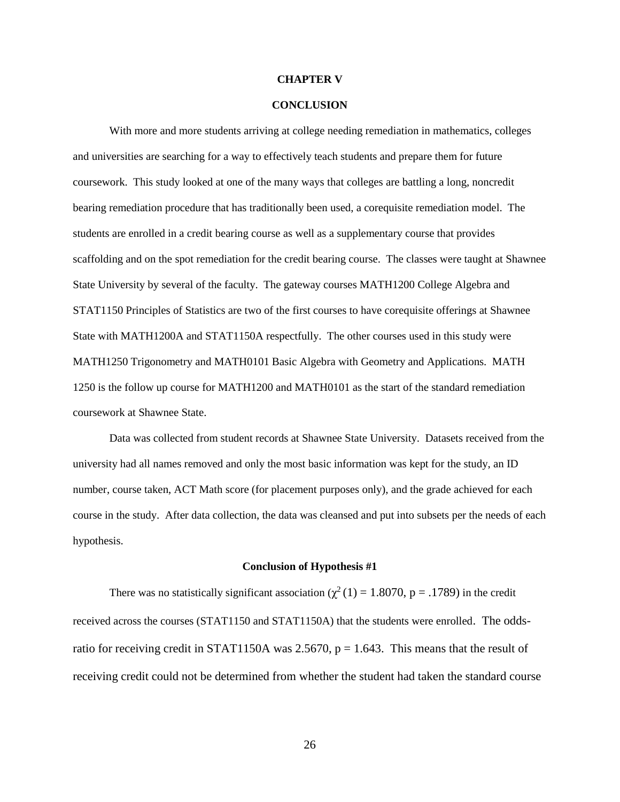#### **CHAPTER V**

#### **CONCLUSION**

With more and more students arriving at college needing remediation in mathematics, colleges and universities are searching for a way to effectively teach students and prepare them for future coursework. This study looked at one of the many ways that colleges are battling a long, noncredit bearing remediation procedure that has traditionally been used, a corequisite remediation model. The students are enrolled in a credit bearing course as well as a supplementary course that provides scaffolding and on the spot remediation for the credit bearing course. The classes were taught at Shawnee State University by several of the faculty. The gateway courses MATH1200 College Algebra and STAT1150 Principles of Statistics are two of the first courses to have corequisite offerings at Shawnee State with MATH1200A and STAT1150A respectfully. The other courses used in this study were MATH1250 Trigonometry and MATH0101 Basic Algebra with Geometry and Applications. MATH 1250 is the follow up course for MATH1200 and MATH0101 as the start of the standard remediation coursework at Shawnee State.

Data was collected from student records at Shawnee State University. Datasets received from the university had all names removed and only the most basic information was kept for the study, an ID number, course taken, ACT Math score (for placement purposes only), and the grade achieved for each course in the study. After data collection, the data was cleansed and put into subsets per the needs of each hypothesis.

#### **Conclusion of Hypothesis #1**

There was no statistically significant association ( $\chi^2(1) = 1.8070$ , p = .1789) in the credit received across the courses (STAT1150 and STAT1150A) that the students were enrolled. The oddsratio for receiving credit in STAT1150A was 2.5670,  $p = 1.643$ . This means that the result of receiving credit could not be determined from whether the student had taken the standard course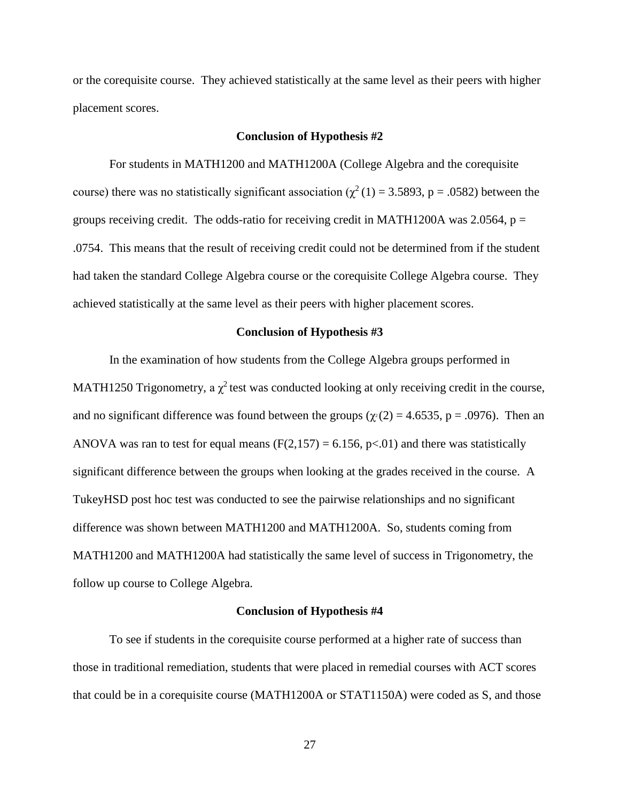or the corequisite course. They achieved statistically at the same level as their peers with higher placement scores.

#### **Conclusion of Hypothesis #2**

For students in MATH1200 and MATH1200A (College Algebra and the corequisite course) there was no statistically significant association ( $\chi^2(1) = 3.5893$ , p = .0582) between the groups receiving credit. The odds-ratio for receiving credit in MATH1200A was 2.0564,  $p =$ .0754. This means that the result of receiving credit could not be determined from if the student had taken the standard College Algebra course or the corequisite College Algebra course. They achieved statistically at the same level as their peers with higher placement scores.

#### **Conclusion of Hypothesis #3**

In the examination of how students from the College Algebra groups performed in MATH1250 Trigonometry, a  $\chi^2$  test was conducted looking at only receiving credit in the course, and no significant difference was found between the groups ( $\chi$ <sup>2</sup>(2) = 4.6535, p = .0976). Then an ANOVA was ran to test for equal means  $(F(2,157) = 6.156, p<0.01)$  and there was statistically significant difference between the groups when looking at the grades received in the course. A TukeyHSD post hoc test was conducted to see the pairwise relationships and no significant difference was shown between MATH1200 and MATH1200A. So, students coming from MATH1200 and MATH1200A had statistically the same level of success in Trigonometry, the follow up course to College Algebra.

#### **Conclusion of Hypothesis #4**

To see if students in the corequisite course performed at a higher rate of success than those in traditional remediation, students that were placed in remedial courses with ACT scores that could be in a corequisite course (MATH1200A or STAT1150A) were coded as S, and those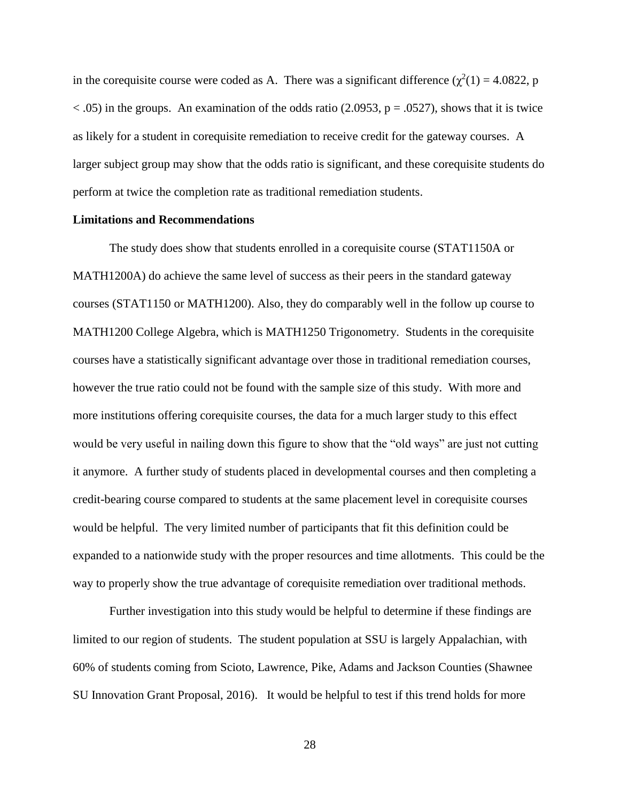in the corequisite course were coded as A. There was a significant difference  $(\chi^2(1) = 4.0822$ , p  $<$  .05) in the groups. An examination of the odds ratio (2.0953, p = .0527), shows that it is twice as likely for a student in corequisite remediation to receive credit for the gateway courses. A larger subject group may show that the odds ratio is significant, and these corequisite students do perform at twice the completion rate as traditional remediation students.

#### **Limitations and Recommendations**

The study does show that students enrolled in a corequisite course (STAT1150A or MATH1200A) do achieve the same level of success as their peers in the standard gateway courses (STAT1150 or MATH1200). Also, they do comparably well in the follow up course to MATH1200 College Algebra, which is MATH1250 Trigonometry. Students in the corequisite courses have a statistically significant advantage over those in traditional remediation courses, however the true ratio could not be found with the sample size of this study. With more and more institutions offering corequisite courses, the data for a much larger study to this effect would be very useful in nailing down this figure to show that the "old ways" are just not cutting it anymore. A further study of students placed in developmental courses and then completing a credit-bearing course compared to students at the same placement level in corequisite courses would be helpful. The very limited number of participants that fit this definition could be expanded to a nationwide study with the proper resources and time allotments. This could be the way to properly show the true advantage of corequisite remediation over traditional methods.

Further investigation into this study would be helpful to determine if these findings are limited to our region of students. The student population at SSU is largely Appalachian, with 60% of students coming from Scioto, Lawrence, Pike, Adams and Jackson Counties (Shawnee SU Innovation Grant Proposal, 2016). It would be helpful to test if this trend holds for more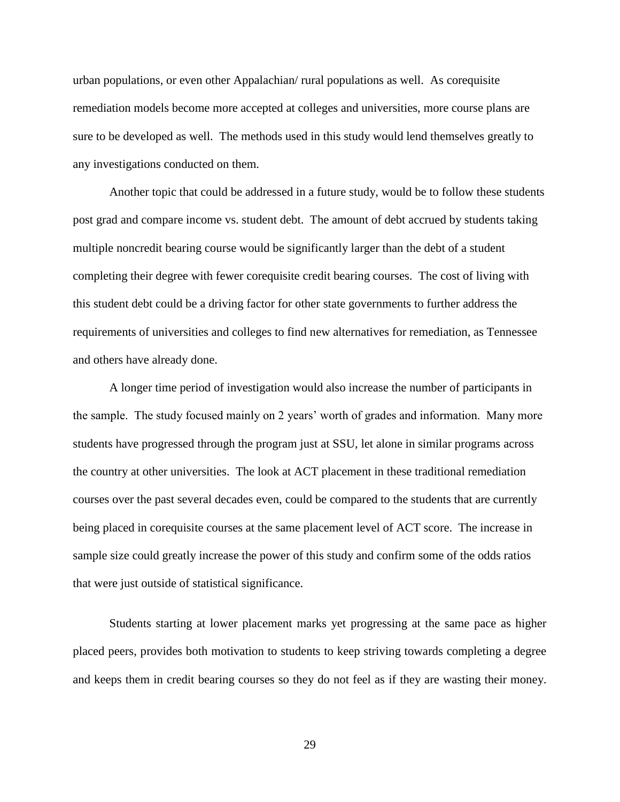urban populations, or even other Appalachian/ rural populations as well. As corequisite remediation models become more accepted at colleges and universities, more course plans are sure to be developed as well. The methods used in this study would lend themselves greatly to any investigations conducted on them.

Another topic that could be addressed in a future study, would be to follow these students post grad and compare income vs. student debt. The amount of debt accrued by students taking multiple noncredit bearing course would be significantly larger than the debt of a student completing their degree with fewer corequisite credit bearing courses. The cost of living with this student debt could be a driving factor for other state governments to further address the requirements of universities and colleges to find new alternatives for remediation, as Tennessee and others have already done.

A longer time period of investigation would also increase the number of participants in the sample. The study focused mainly on 2 years' worth of grades and information. Many more students have progressed through the program just at SSU, let alone in similar programs across the country at other universities. The look at ACT placement in these traditional remediation courses over the past several decades even, could be compared to the students that are currently being placed in corequisite courses at the same placement level of ACT score. The increase in sample size could greatly increase the power of this study and confirm some of the odds ratios that were just outside of statistical significance.

Students starting at lower placement marks yet progressing at the same pace as higher placed peers, provides both motivation to students to keep striving towards completing a degree and keeps them in credit bearing courses so they do not feel as if they are wasting their money.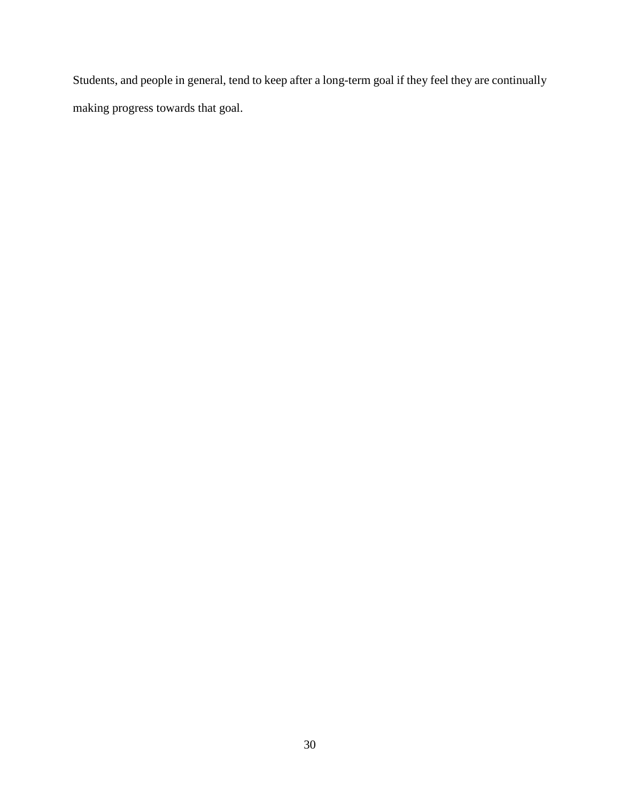Students, and people in general, tend to keep after a long-term goal if they feel they are continually making progress towards that goal.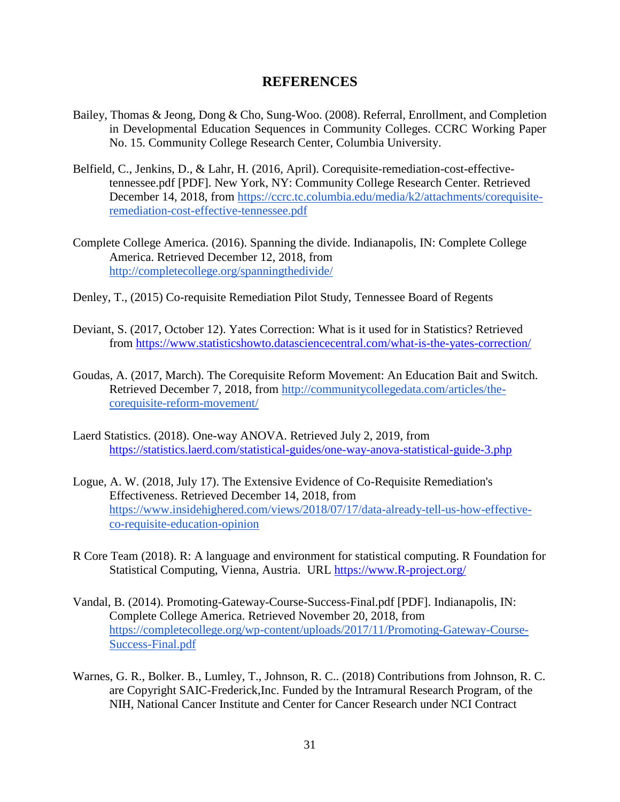### **REFERENCES**

- Bailey, Thomas & Jeong, Dong & Cho, Sung-Woo. (2008). Referral, Enrollment, and Completion in Developmental Education Sequences in Community Colleges. CCRC Working Paper No. 15. Community College Research Center, Columbia University.
- Belfield, C., Jenkins, D., & Lahr, H. (2016, April). Corequisite-remediation-cost-effectivetennessee.pdf [PDF]. New York, NY: Community College Research Center. Retrieved December 14, 2018, from [https://ccrc.tc.columbia.edu/media/k2/attachments/corequisite](https://ccrc.tc.columbia.edu/media/k2/attachments/corequisite-remediation-cost-effective-tennessee.pdf)[remediation-cost-effective-tennessee.pdf](https://ccrc.tc.columbia.edu/media/k2/attachments/corequisite-remediation-cost-effective-tennessee.pdf)
- Complete College America. (2016). Spanning the divide. Indianapolis, IN: Complete College America. Retrieved December 12, 2018, from <http://completecollege.org/spanningthedivide/>
- Denley, T., (2015) Co-requisite Remediation Pilot Study, Tennessee Board of Regents
- Deviant, S. (2017, October 12). Yates Correction: What is it used for in Statistics? Retrieved from<https://www.statisticshowto.datasciencecentral.com/what-is-the-yates-correction/>
- Goudas, A. (2017, March). The Corequisite Reform Movement: An Education Bait and Switch. Retrieved December 7, 2018, from [http://communitycollegedata.com/articles/the](http://communitycollegedata.com/articles/the-corequisite-reform-movement/)[corequisite-reform-movement/](http://communitycollegedata.com/articles/the-corequisite-reform-movement/)
- Laerd Statistics. (2018). One-way ANOVA. Retrieved July 2, 2019, from <https://statistics.laerd.com/statistical-guides/one-way-anova-statistical-guide-3.php>
- Logue, A. W. (2018, July 17). The Extensive Evidence of Co-Requisite Remediation's Effectiveness. Retrieved December 14, 2018, from [https://www.insidehighered.com/views/2018/07/17/data-already-tell-us-how-effective](https://www.insidehighered.com/views/2018/07/17/data-already-tell-us-how-effective-co-requisite-education-opinion)[co-requisite-education-opinion](https://www.insidehighered.com/views/2018/07/17/data-already-tell-us-how-effective-co-requisite-education-opinion)
- R Core Team (2018). R: A language and environment for statistical computing. R Foundation for Statistical Computing, Vienna, Austria. URL [https://www.R-project.org/](https://www.r-project.org/)
- Vandal, B. (2014). Promoting-Gateway-Course-Success-Final.pdf [PDF]. Indianapolis, IN: Complete College America. Retrieved November 20, 2018, from [https://completecollege.org/wp-content/uploads/2017/11/Promoting-Gateway-Course-](https://completecollege.org/wp-content/uploads/2017/11/Promoting-Gateway-Course-Success-Final.pdf)[Success-Final.pdf](https://completecollege.org/wp-content/uploads/2017/11/Promoting-Gateway-Course-Success-Final.pdf)
- Warnes, G. R., Bolker. B., Lumley, T., Johnson, R. C.. (2018) Contributions from Johnson, R. C. are Copyright SAIC-Frederick,Inc. Funded by the Intramural Research Program, of the NIH, National Cancer Institute and Center for Cancer Research under NCI Contract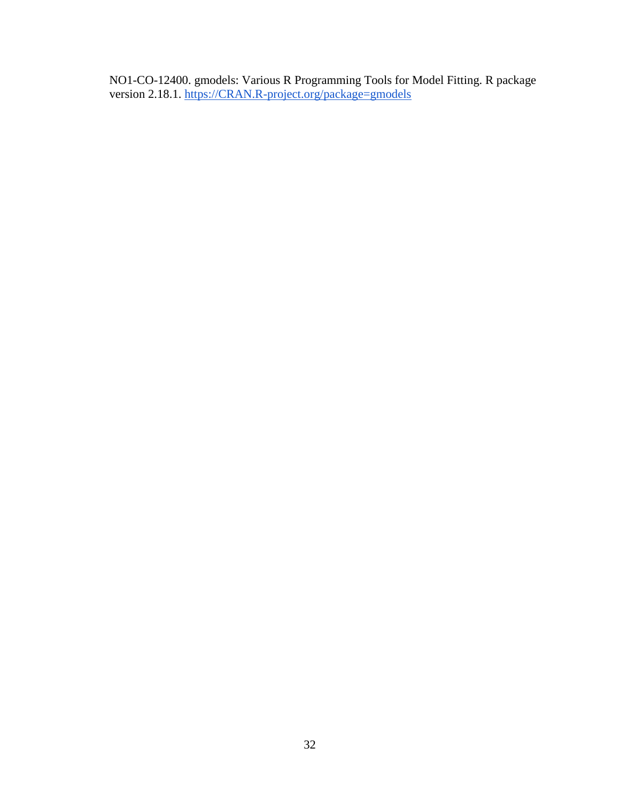NO1-CO-12400. gmodels: Various R Programming Tools for Model Fitting. R package version 2.18.1. [https://CRAN.R-project.org/package=gmodels](https://cran.r-project.org/package=gmodels)